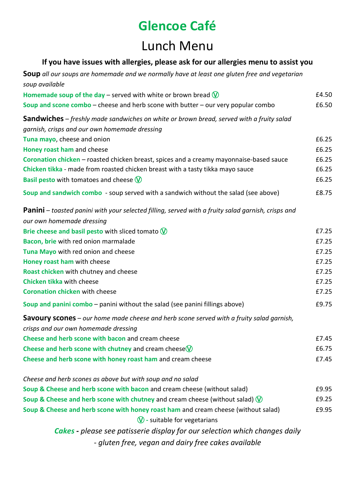### Lunch Menu

### **If you have issues with allergies, please ask for our allergies menu to assist you**

**Soup** *all our soups are homemade and we normally have at least one gluten free and vegetarian soup available*

| Homemade soup of the day – served with white or brown bread $\mathbb Q$                                   | £4.50 |
|-----------------------------------------------------------------------------------------------------------|-------|
| Soup and scone combo – cheese and herb scone with butter – our very popular combo                         | £6.50 |
| <b>Sandwiches</b> – freshly made sandwiches on white or brown bread, served with a fruity salad           |       |
| garnish, crisps and our own homemade dressing                                                             |       |
| Tuna mayo, cheese and onion                                                                               | £6.25 |
| Honey roast ham and cheese                                                                                | £6.25 |
| Coronation chicken - roasted chicken breast, spices and a creamy mayonnaise-based sauce                   | £6.25 |
| Chicken tikka - made from roasted chicken breast with a tasty tikka mayo sauce                            | £6.25 |
| <b>Basil pesto</b> with tomatoes and cheese $\mathbb{W}$                                                  | £6.25 |
| Soup and sandwich combo - soup served with a sandwich without the salad (see above)                       | £8.75 |
| <b>Panini</b> – toasted panini with your selected filling, served with a fruity salad garnish, crisps and |       |
| our own homemade dressing                                                                                 |       |
| Brie cheese and basil pesto with sliced tomato $\mathbb W$                                                | £7.25 |
| Bacon, brie with red onion marmalade                                                                      | £7.25 |
| Tuna Mayo with red onion and cheese                                                                       | £7.25 |
| Honey roast ham with cheese                                                                               | £7.25 |
| Roast chicken with chutney and cheese                                                                     | £7.25 |
| Chicken tikka with cheese                                                                                 | £7.25 |
| <b>Coronation chicken with cheese</b>                                                                     | £7.25 |
| Soup and panini combo - panini without the salad (see panini fillings above)                              | £9.75 |
| <b>Savoury scones</b> – our home made cheese and herb scone served with a fruity salad garnish,           |       |
| crisps and our own homemade dressing                                                                      |       |
| Cheese and herb scone with bacon and cream cheese                                                         | £7.45 |
| Cheese and herb scone with chutney and cream cheese $\mathbb{V}$                                          | £6.75 |
| Cheese and herb scone with honey roast ham and cream cheese                                               | £7.45 |
| Cheese and herb scones as above but with soup and no salad                                                |       |
| Soup & Cheese and herb scone with bacon and cream cheese (without salad)                                  | £9.95 |
| Soup & Cheese and herb scone with chutney and cream cheese (without salad) $\mathbb{Q}$                   | £9.25 |
| Soup & Cheese and herb scone with honey roast ham and cream cheese (without salad)                        | £9.95 |
| $\mathbb{V}$ - suitable for vegetarians                                                                   |       |
| <b>Cakes</b> - please see patisserie display for our selection which changes daily                        |       |
| - gluten free, vegan and dairy free cakes available                                                       |       |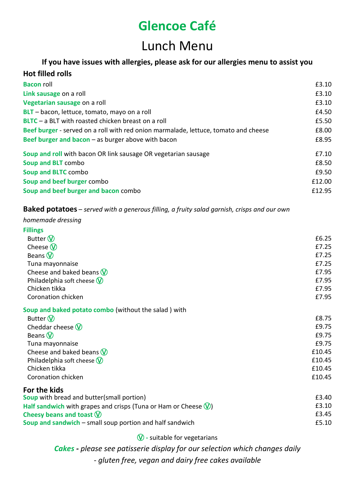## Lunch Menu

### **If you have issues with allergies, please ask for our allergies menu to assist you**

| <b>Hot filled rolls</b>                                                             |        |
|-------------------------------------------------------------------------------------|--------|
| <b>Bacon roll</b>                                                                   | £3.10  |
| Link sausage on a roll                                                              | £3.10  |
| Vegetarian sausage on a roll                                                        | £3.10  |
| BLT - bacon, lettuce, tomato, mayo on a roll                                        | £4.50  |
| <b>BLTC</b> – a BLT with roasted chicken breast on a roll                           | £5.50  |
| Beef burger - served on a roll with red onion marmalade, lettuce, tomato and cheese | £8.00  |
| Beef burger and bacon $-$ as burger above with bacon                                | £8.95  |
| Soup and roll with bacon OR link sausage OR vegetarian sausage                      | £7.10  |
| Soup and BLT combo                                                                  | £8.50  |
| Soup and BLTC combo                                                                 | £9.50  |
| Soup and beef burger combo                                                          | £12.00 |
| Soup and beef burger and bacon combo                                                | £12.95 |

#### **Baked potatoes** – *served with a generous filling, a fruity salad garnish, crisps and our own*

#### *homemade dressing*

|  | v.<br>٠<br>۰. |
|--|---------------|
|--|---------------|

| Butter $\mathbb{O}$                                   | £6.25  |
|-------------------------------------------------------|--------|
| Cheese $\mathbb{W}$                                   | £7.25  |
| Beans $\mathbb{W}$                                    | £7.25  |
| Tuna mayonnaise                                       | £7.25  |
| Cheese and baked beans $\mathbf{\mathbf{\mathbb{W}}}$ | £7.95  |
| Philadelphia soft cheese $\mathbf W$                  | £7.95  |
| Chicken tikka                                         | £7.95  |
| Coronation chicken                                    | £7.95  |
| Soup and baked potato combo (without the salad) with  |        |
| Butter $\mathbf{\hat{W}}$                             | £8.75  |
| Cheddar cheese $\mathsf{\textcircled{V}}$             | £9.75  |
| Beans $\mathbf{\hat{W}}$                              | £9.75  |
| Tuna mayonnaise                                       | £9.75  |
| Cheese and baked beans $\mathsf{\textcircled{V}}$     | £10.45 |
|                                                       |        |

Philadelphia soft cheese  $\sqrt{}$  **E10.45** Chicken tikka £10.45 Coronation chicken **E10.45 For the kids**

**Soup** with bread and butter(small portion) **EXALL EXALL EXALL EXALL EXALL EXALL EXALL EXALL EXALL EXALL EXALL EXALL** Half sandwich with grapes and crisps (Tuna or Ham or Cheese  $\mathbb{Q}$ ) **EXACLE 18 FOLL EXACLE 18 FOLL EXACLE** E3.10 **Cheesy beans and toast**  $\mathbb{Q}$  **E3.45 Soup and sandwich** – small soup portion and half sandwich **EXALL SOUP** 2008 25.10

Ⓥ **-** suitable for vegetarians

*Cakes - please see patisserie display for our selection which changes daily - gluten free, vegan and dairy free cakes available*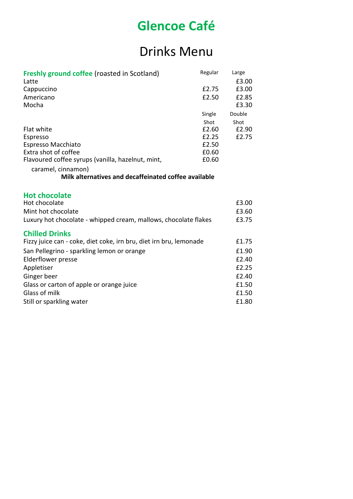## Drinks Menu

| <b>Freshly ground coffee (roasted in Scotland)</b>                                          | Regular | Large  |
|---------------------------------------------------------------------------------------------|---------|--------|
| Latte                                                                                       |         | £3.00  |
| Cappuccino                                                                                  | £2.75   | £3.00  |
| Americano                                                                                   | £2.50   | £2.85  |
| Mocha                                                                                       |         | £3.30  |
|                                                                                             | Single  | Double |
|                                                                                             | Shot    | Shot   |
| <b>Flat white</b>                                                                           | £2.60   | £2.90  |
| Espresso                                                                                    | £2.25   | £2.75  |
| Espresso Macchiato                                                                          | £2.50   |        |
| Extra shot of coffee                                                                        | £0.60   |        |
| Flavoured coffee syrups (vanilla, hazelnut, mint,                                           | £0.60   |        |
| caramel, cinnamon)                                                                          |         |        |
| Milk alternatives and decaffeinated coffee available                                        |         |        |
|                                                                                             |         |        |
| <b>Hot chocolate</b>                                                                        |         |        |
| Hot chocolate                                                                               |         | £3.00  |
| Mint hot chocolate                                                                          |         | £3.60  |
| Luxury hot chocolate - whipped cream, mallows, chocolate flakes                             |         | £3.75  |
|                                                                                             |         |        |
| <b>Chilled Drinks</b><br>Fizzy juice can - coke, diet coke, irn bru, diet irn bru, lemonade |         | £1.75  |
|                                                                                             |         | £1.90  |
| San Pellegrino - sparkling lemon or orange                                                  |         |        |
| <b>Elderflower presse</b>                                                                   |         | £2.40  |
| Appletiser                                                                                  |         | £2.25  |
| Ginger beer                                                                                 |         | £2.40  |
| Glass or carton of apple or orange juice                                                    |         | £1.50  |
| Glass of milk                                                                               |         | £1.50  |
| Still or sparkling water                                                                    |         | £1.80  |